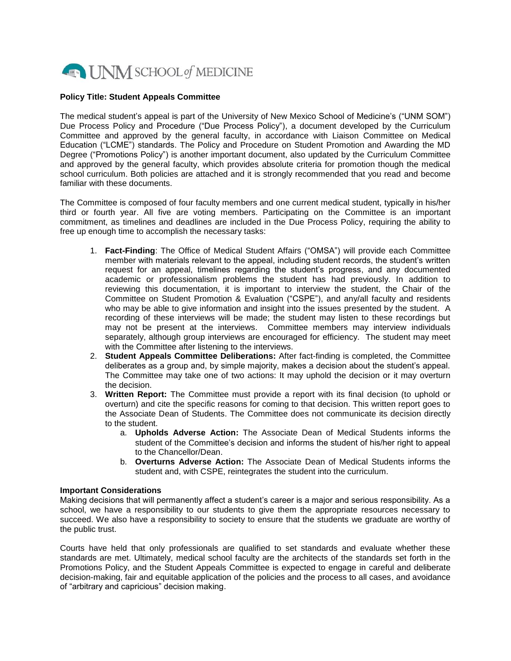

## **Policy Title: Student Appeals Committee**

The medical student's appeal is part of the University of New Mexico School of Medicine's ("UNM SOM") Due Process Policy and Procedure ("Due Process Policy"), a document developed by the Curriculum Committee and approved by the general faculty, in accordance with Liaison Committee on Medical Education ("LCME") standards. The Policy and Procedure on Student Promotion and Awarding the MD Degree ("Promotions Policy") is another important document, also updated by the Curriculum Committee and approved by the general faculty, which provides absolute criteria for promotion though the medical school curriculum. Both policies are attached and it is strongly recommended that you read and become familiar with these documents.

The Committee is composed of four faculty members and one current medical student, typically in his/her third or fourth year. All five are voting members. Participating on the Committee is an important commitment, as timelines and deadlines are included in the Due Process Policy, requiring the ability to free up enough time to accomplish the necessary tasks:

- 1. **Fact-Finding**: The Office of Medical Student Affairs ("OMSA") will provide each Committee member with materials relevant to the appeal, including student records, the student's written request for an appeal, timelines regarding the student's progress, and any documented academic or professionalism problems the student has had previously. In addition to reviewing this documentation, it is important to interview the student, the Chair of the Committee on Student Promotion & Evaluation ("CSPE"), and any/all faculty and residents who may be able to give information and insight into the issues presented by the student. A recording of these interviews will be made; the student may listen to these recordings but may not be present at the interviews. Committee members may interview individuals separately, although group interviews are encouraged for efficiency. The student may meet with the Committee after listening to the interviews.
- 2. **Student Appeals Committee Deliberations:** After fact-finding is completed, the Committee deliberates as a group and, by simple majority, makes a decision about the student's appeal. The Committee may take one of two actions: It may uphold the decision or it may overturn the decision.
- 3. **Written Report:** The Committee must provide a report with its final decision (to uphold or overturn) and cite the specific reasons for coming to that decision. This written report goes to the Associate Dean of Students. The Committee does not communicate its decision directly to the student.
	- a. **Upholds Adverse Action:** The Associate Dean of Medical Students informs the student of the Committee's decision and informs the student of his/her right to appeal to the Chancellor/Dean.
	- b. **Overturns Adverse Action:** The Associate Dean of Medical Students informs the student and, with CSPE, reintegrates the student into the curriculum.

## **Important Considerations**

Making decisions that will permanently affect a student's career is a major and serious responsibility. As a school, we have a responsibility to our students to give them the appropriate resources necessary to succeed. We also have a responsibility to society to ensure that the students we graduate are worthy of the public trust.

Courts have held that only professionals are qualified to set standards and evaluate whether these standards are met. Ultimately, medical school faculty are the architects of the standards set forth in the Promotions Policy, and the Student Appeals Committee is expected to engage in careful and deliberate decision-making, fair and equitable application of the policies and the process to all cases, and avoidance of "arbitrary and capricious" decision making.